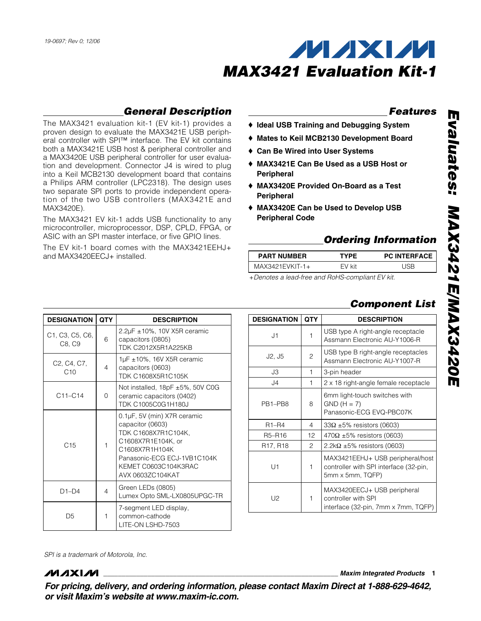

### **General Description**

The MAX3421 evaluation kit-1 (EV kit-1) provides a proven design to evaluate the MAX3421E USB peripheral controller with SPI™ interface. The EV kit contains both a MAX3421E USB host & peripheral controller and a MAX3420E USB peripheral controller for user evaluation and development. Connector J4 is wired to plug into a Keil MCB2130 development board that contains a Philips ARM controller (LPC2318). The design uses two separate SPI ports to provide independent operation of the two USB controllers (MAX3421E and MAX3420E).

The MAX3421 EV kit-1 adds USB functionality to any microcontroller, microprocessor, DSP, CPLD, FPGA, or ASIC with an SPI master interface, or five GPIO lines.

The EV kit-1 board comes with the MAX3421EEHJ+ and MAX3420EECJ+ installed.

**DESIGNATION QTY** DESCRIPTION

### **Features**

- ♦ **Ideal USB Training and Debugging System**
- ♦ **Mates to Keil MCB2130 Development Board**
- ♦ **Can Be Wired into User Systems**
- ♦ **MAX3421E Can Be Used as a USB Host or Peripheral**
- ♦ **MAX3420E Provided On-Board as a Test Peripheral**
- ♦ **MAX3420E Can be Used to Develop USB Peripheral Code**

### **Ordering Information**

| <b>PART NUMBER</b> | <b>TYPF</b> | <b>PC INTERFACE</b> |
|--------------------|-------------|---------------------|
| $MAX3421EVKIT-1+$  | FV kit      | l ISR               |
|                    |             |                     |

+Denotes a lead-free and RoHS-compliant EV kit.

## **Component List**

| <b>DESIGNATION</b>                | <b>QTY</b>   | <b>DESCRIPTION</b>                                                                             |
|-----------------------------------|--------------|------------------------------------------------------------------------------------------------|
| J1                                | $\mathbf{1}$ | USB type A right-angle receptacle<br>Assmann Electronic AU-Y1006-R                             |
| J <sub>2</sub> , J <sub>5</sub>   | 2            | USB type B right-angle receptacles<br>Assmann Electronic AU-Y1007-R                            |
| J3                                | $\mathbf{1}$ | 3-pin header                                                                                   |
| J <sub>4</sub>                    | 1            | 2 x 18 right-angle female receptacle                                                           |
| PR <sub>1</sub> _PR <sub>8</sub>  | 8            | 6mm light-touch switches with<br>$GND(H = 7)$<br>Panasonic-ECG EVQ-PBC07K                      |
| $R1 - R4$                         | 4            | $33\Omega \pm 5\%$ resistors (0603)                                                            |
| R5-R16                            | 12           | $470\Omega \pm 5\%$ resistors (0603)                                                           |
| R <sub>17</sub> , R <sub>18</sub> | 2            | $2.2$ k $\Omega$ ±5% resistors (0603)                                                          |
| U1                                | 1            | MAX3421EEHJ+ USB peripheral/host<br>controller with SPI interface (32-pin,<br>5mm x 5mm, TQFP) |
| U2                                | 1            | MAX3420EECJ+ USB peripheral<br>controller with SPI<br>interface (32-pin, 7mm x 7mm, TQFP)      |

C1, C3, C5, C6,  $C8, C9$  6 2.2µF ±10%, 10V X5R ceramic capacitors (0805) TDK C2012X5R1A225KB C2, C4, C7,  $C_1$ ,  $C_2$ ,  $C_3$  4 1µF ±10%, 16V X5R ceramic capacitors (0603) TDK C1608X5R1C105K  $C11-C14$  0 Not installed, 18pF ±5%, 50V C0G ceramic capacitors (0402) TDK C1005C0G1H180J  $C15$  1 0.1µF, 5V (min) X7R ceramic capacitor (0603) TDK C1608X7R1C104K, C1608X7R1E104K, or C1608X7R1H104K Panasonic-ECG ECJ-1VB1C104K KEMET C0603C104K3RAC AVX 0603ZC104KAT D1–D4 4 Green LEDs (0805) Lumex Opto SML-LX0805UPGC-TR D<sub>5</sub> 1 7-segment LED display, common-cathode

LITE-ON LSHD-7503

SPI is a trademark of Motorola, Inc.

### *MAXIM*

**\_\_\_\_\_\_\_\_\_\_\_\_\_\_\_\_\_\_\_\_\_\_\_\_\_\_\_\_\_\_\_\_\_\_\_\_\_\_\_\_\_\_\_\_\_\_\_\_\_\_\_\_\_\_\_\_\_\_\_\_\_\_\_\_ Maxim Integrated Products 1**

**For pricing, delivery, and ordering information, please contact Maxim Direct at 1-888-629-4642, or visit Maxim's website at www.maxim-ic.com.**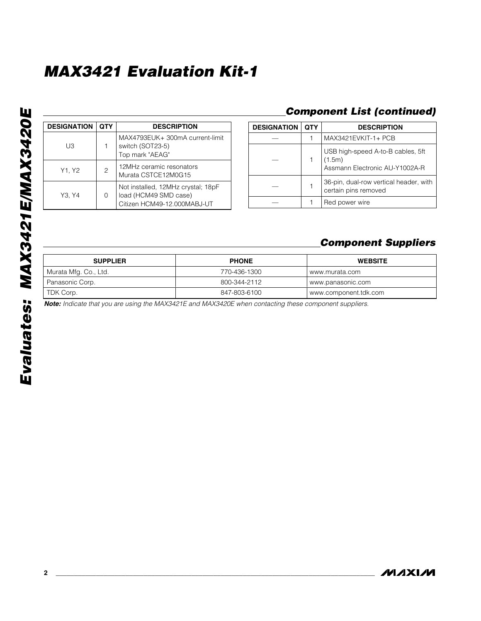Evaluates: MAX3421E/MAX3420E **Evaluates: MAX3421E/MAX3420E**

| <b>DESIGNATION</b> | <b>OTY</b> | <b>DESCRIPTION</b>                                                                         |  |
|--------------------|------------|--------------------------------------------------------------------------------------------|--|
| UЗ                 |            | MAX4793EUK+ 300mA current-limit<br>switch (SOT23-5)<br>Top mark "AEAG"                     |  |
| Y1. Y2             | 2          | 12MHz ceramic resonators<br>Murata CSTCE12M0G15                                            |  |
| Y3. Y4             | O          | Not installed, 12MHz crystal; 18pF<br>load (HCM49 SMD case)<br>Citizen HCM49-12.000MABJ-UT |  |

### **Component List (continued)**

| <b>DESIGNATION</b> | <b>OTY</b> | <b>DESCRIPTION</b>                                                            |
|--------------------|------------|-------------------------------------------------------------------------------|
|                    |            | MAX3421EVKIT-1+ PCB                                                           |
|                    |            | USB high-speed A-to-B cables, 5ft<br>(1.5m)<br>Assmann Electronic AU-Y1002A-R |
|                    |            | 36-pin, dual-row vertical header, with<br>certain pins removed                |
|                    |            | Red power wire                                                                |

### **Component Suppliers**

| <b>SUPPLIER</b>       | <b>PHONE</b> | <b>WEBSITE</b>        |
|-----------------------|--------------|-----------------------|
| Murata Mfg. Co., Ltd. | 770-436-1300 | www.murata.com        |
| Panasonic Corp.       | 800-344-2112 | www.panasonic.com     |
| TDK Corp.             | 847-803-6100 | www.component.tdk.com |

**Note:** Indicate that you are using the MAX3421E and MAX3420E when contacting these component suppliers.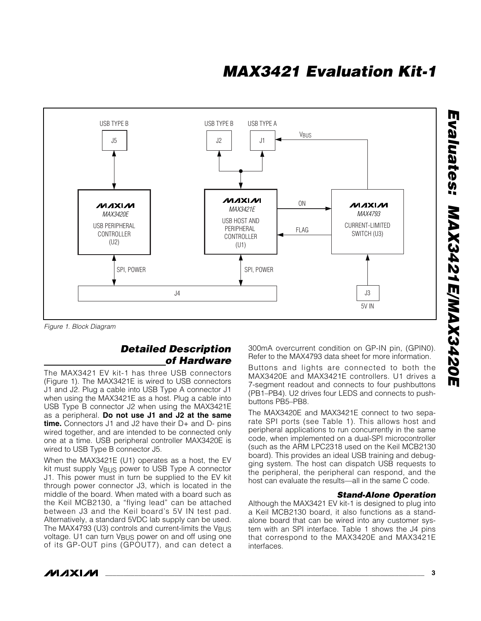

Figure 1. Block Diagram

### **Detailed Description of Hardware**

The MAX3421 EV kit-1 has three USB connectors (Figure 1). The MAX3421E is wired to USB connectors J1 and J2. Plug a cable into USB Type A connector J1 when using the MAX3421E as a host. Plug a cable into USB Type B connector J2 when using the MAX3421E as a peripheral. **Do not use J1 and J2 at the same time.** Connectors J1 and J2 have their D+ and D- pins wired together, and are intended to be connected only one at a time. USB peripheral controller MAX3420E is wired to USB Type B connector J5.

When the MAX3421E (U1) operates as a host, the EV kit must supply V<sub>BUS</sub> power to USB Type A connector J1. This power must in turn be supplied to the EV kit through power connector J3, which is located in the middle of the board. When mated with a board such as the Keil MCB2130, a "flying lead" can be attached between J3 and the Keil board's 5V IN test pad. Alternatively, a standard 5VDC lab supply can be used. The MAX4793 (U3) controls and current-limits the VBUS voltage. U1 can turn VBUS power on and off using one of its GP-OUT pins (GPOUT7), and can detect a

300mA overcurrent condition on GP-IN pin, (GPIN0). Refer to the MAX4793 data sheet for more information.

Buttons and lights are connected to both the MAX3420E and MAX3421E controllers. U1 drives a 7-segment readout and connects to four pushbuttons (PB1–PB4). U2 drives four LEDS and connects to pushbuttons PB5–PB8.

The MAX3420E and MAX3421E connect to two separate SPI ports (see Table 1). This allows host and peripheral applications to run concurrently in the same code, when implemented on a dual-SPI microcontroller (such as the ARM LPC2318 used on the Keil MCB2130 board). This provides an ideal USB training and debugging system. The host can dispatch USB requests to the peripheral, the peripheral can respond, and the host can evaluate the results—all in the same C code.

#### **Stand-Alone Operation**

Although the MAX3421 EV kit-1 is designed to plug into a Keil MCB2130 board, it also functions as a standalone board that can be wired into any customer system with an SPI interface. Table 1 shows the J4 pins that correspond to the MAX3420E and MAX3421E interfaces.

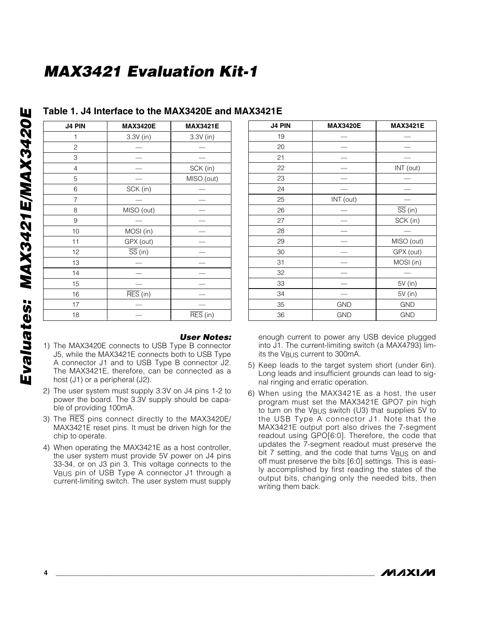| J4 PIN         | <b>MAX3420E</b>              | <b>MAX3421E</b>              |
|----------------|------------------------------|------------------------------|
| 1              | 3.3V (in)                    | 3.3V (in)                    |
| $\overline{c}$ |                              |                              |
| 3              |                              |                              |
| $\overline{4}$ |                              | SCK (in)                     |
| 5              |                              | MISO (out)                   |
| 6              | SCK (in)                     |                              |
| 7              |                              |                              |
| 8              | MISO (out)                   |                              |
| 9              |                              |                              |
| 10             | MOSI (in)                    |                              |
| 11             | GPX (out)                    |                              |
| 12             | $\overline{SS}$ (in)         |                              |
| 13             |                              |                              |
| 14             |                              |                              |
| 15             |                              |                              |
| 16             | $\overline{\text{RES}}$ (in) |                              |
| 17             |                              |                              |
| 18             |                              | $\overline{\text{RES}}$ (in) |

### **Table 1. J4 Interface to the MAX3420E and MAX3421E**

#### **User Notes:**

- 1) The MAX3420E connects to USB Type B connector J5, while the MAX3421E connects both to USB Type A connector J1 and to USB Type B connector J2. The MAX3421E, therefore, can be connected as a host (J1) or a peripheral (J2).
- 2) The user system must supply 3.3V on J4 pins 1-2 to power the board. The 3.3V supply should be capable of providing 100mA.
- 3) The RES pins connect directly to the MAX3420E/ MAX3421E reset pins. It must be driven high for the chip to operate.
- 4) When operating the MAX3421E as a host controller, the user system must provide 5V power on J4 pins 33-34, or on J3 pin 3. This voltage connects to the VBUS pin of USB Type A connector J1 through a current-limiting switch. The user system must supply

| J4 PIN | <b>MAX3420E</b> | <b>MAX3421E</b>      |
|--------|-----------------|----------------------|
| 19     |                 |                      |
| 20     |                 |                      |
| 21     |                 |                      |
| 22     |                 | INT (out)            |
| 23     |                 |                      |
| 24     |                 |                      |
| 25     | INT (out)       |                      |
| 26     |                 | $\overline{SS}$ (in) |
| 27     |                 | SCK (in)             |
| 28     |                 |                      |
| 29     |                 | MISO (out)           |
| 30     |                 | GPX (out)            |
| 31     |                 | MOSI (in)            |
| 32     |                 |                      |
| 33     |                 | 5V (in)              |
| 34     |                 | 5V (in)              |
| 35     | <b>GND</b>      | <b>GND</b>           |
| 36     | <b>GND</b>      | <b>GND</b>           |

enough current to power any USB device plugged into J1. The current-limiting switch (a MAX4793) limits the V<sub>BUS</sub> current to 300mA.

- 5) Keep leads to the target system short (under 6in). Long leads and insufficient grounds can lead to signal ringing and erratic operation.
- 6) When using the MAX3421E as a host, the user program must set the MAX3421E GPO7 pin high to turn on the VBUS switch (U3) that supplies 5V to the USB Type A connector J1. Note that the MAX3421E output port also drives the 7-segment readout using GPO[6:0]. Therefore, the code that updates the 7-segment readout must preserve the bit 7 setting, and the code that turns V<sub>BUS</sub> on and off must preserve the bits [6:0] settings. This is easily accomplished by first reading the states of the output bits, changing only the needed bits, then writing them back.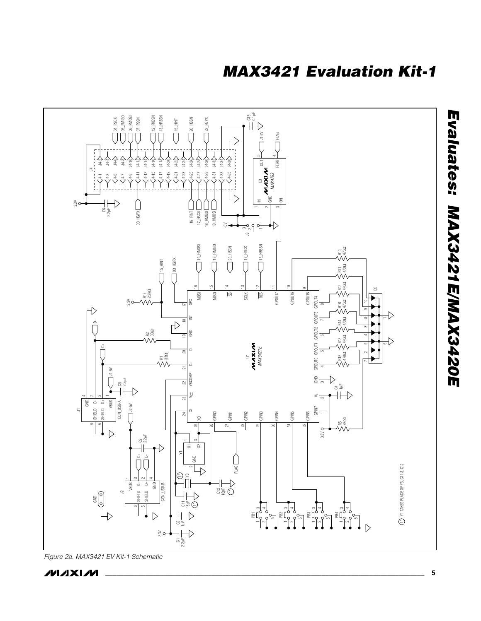

Figure 2a. MAX3421 EV Kit-1 Schematic

**NAIXIVI** 

**Evaluates: MAX3421E/MAX3420E**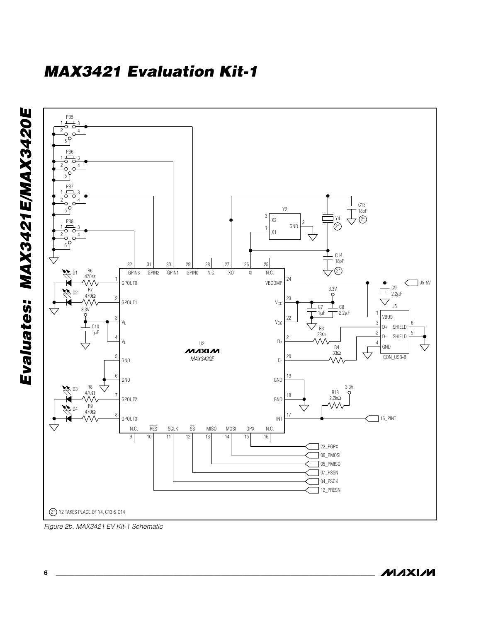

Figure 2b. MAX3421 EV Kit-1 Schematic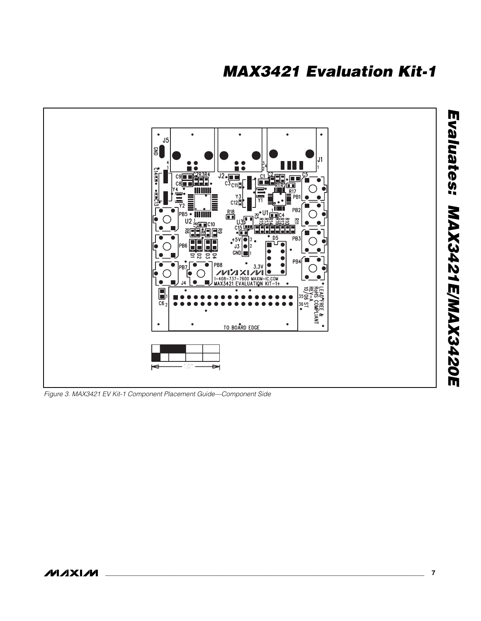

Figure 3. MAX3421 EV Kit-1 Component Placement Guide—Component Side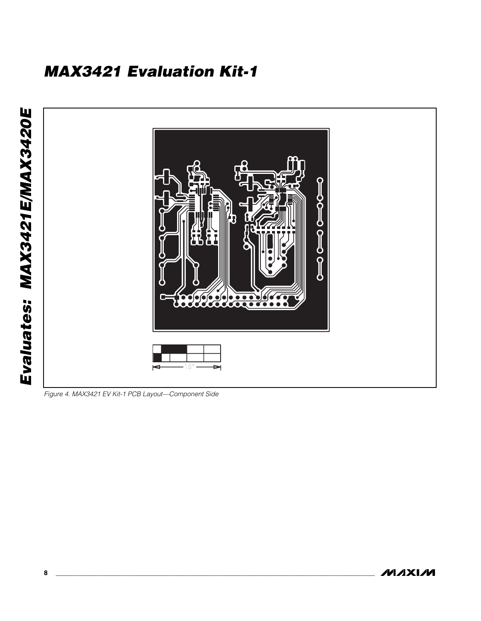

Figure 4. MAX3421 EV Kit-1 PCB Layout—Component Side

**MAXIM 8 \_\_\_\_\_\_\_\_\_\_\_\_\_\_\_\_\_\_\_\_\_\_\_\_\_\_\_\_\_\_\_\_\_\_\_\_\_\_\_\_\_\_\_\_\_\_\_\_\_\_\_\_\_\_\_\_\_\_\_\_\_\_\_\_\_\_\_\_\_\_\_\_\_\_\_\_\_\_\_\_\_\_\_\_\_\_\_**